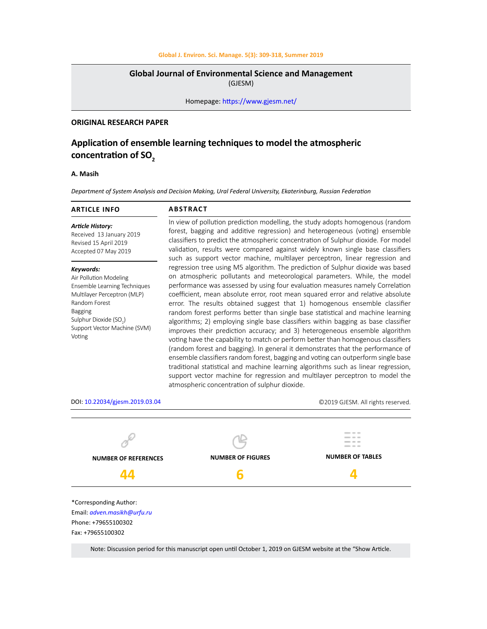# **Global J. Environ. Sci. Manage. 5(3): 309-318, Summer 2019**

# **Global Journal of Environmental Science and Management**

(GJESM)

Homepage: [https://www.gjesm.net/](https://www.gjesm.net/ )

# **ORIGINAL RESEARCH PAPER**

# **Application of ensemble learning techniques to model the atmospheric**  concentration of SO<sub>2</sub>

### **A. Masih**

*Department of System Analysis and Decision Making, Ural Federal University, Ekaterinburg, Russian Federation*

| <b>ARTICLE INFO</b>                                                                                                                                                                                                   | <b>ABSTRACT</b>                                                                                                                                                                                                                                                                                                                                                                                                                                                                                                                                                                                                                                                                                                                                                                                                                                                                                                                                                                                                                                                                                                                                            |  |  |
|-----------------------------------------------------------------------------------------------------------------------------------------------------------------------------------------------------------------------|------------------------------------------------------------------------------------------------------------------------------------------------------------------------------------------------------------------------------------------------------------------------------------------------------------------------------------------------------------------------------------------------------------------------------------------------------------------------------------------------------------------------------------------------------------------------------------------------------------------------------------------------------------------------------------------------------------------------------------------------------------------------------------------------------------------------------------------------------------------------------------------------------------------------------------------------------------------------------------------------------------------------------------------------------------------------------------------------------------------------------------------------------------|--|--|
| <b>Article History:</b><br>Received 13 January 2019<br>Revised 15 April 2019<br>Accepted 07 May 2019                                                                                                                  | In view of pollution prediction modelling, the study adopts homogenous (random<br>forest, bagging and additive regression) and heterogeneous (voting) ensemble<br>classifiers to predict the atmospheric concentration of Sulphur dioxide. For model<br>validation, results were compared against widely known single base classifiers<br>such as support vector machine, multilayer perceptron, linear regression and                                                                                                                                                                                                                                                                                                                                                                                                                                                                                                                                                                                                                                                                                                                                     |  |  |
| Keywords:<br>Air Pollution Modeling<br>Ensemble Learning Techniques<br>Multilayer Perceptron (MLP)<br>Random Forest<br><b>Bagging</b><br>Sulphur Dioxide (SO <sub>2</sub> )<br>Support Vector Machine (SVM)<br>Voting | regression tree using M5 algorithm. The prediction of Sulphur dioxide was based<br>on atmospheric pollutants and meteorological parameters. While, the model<br>performance was assessed by using four evaluation measures namely Correlation<br>coefficient, mean absolute error, root mean squared error and relative absolute<br>error. The results obtained suggest that 1) homogenous ensemble classifier<br>random forest performs better than single base statistical and machine learning<br>algorithms; 2) employing single base classifiers within bagging as base classifier<br>improves their prediction accuracy; and 3) heterogeneous ensemble algorithm<br>voting have the capability to match or perform better than homogenous classifiers<br>(random forest and bagging). In general it demonstrates that the performance of<br>ensemble classifiers random forest, bagging and voting can outperform single base<br>traditional statistical and machine learning algorithms such as linear regression,<br>support vector machine for regression and multilayer perceptron to model the<br>atmospheric concentration of sulphur dioxide. |  |  |



Email: *adven.masikh@urfu.ru* Phone: +79655100302 Fax: +79655100302

Note: Discussion period for this manuscript open until October 1, 2019 on GJESM website at the "Show Article.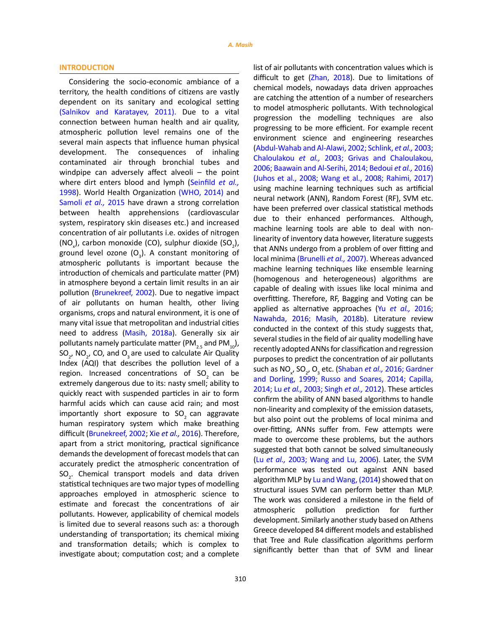### **INTRODUCTION**

Considering the socio-economic ambiance of a territory, the health conditions of citizens are vastly dependent on its sanitary and ecological setting (Salnikov and Karatayev, 2011). Due to a vital connection between human health and air quality, atmospheric pollution level remains one of the several main aspects that influence human physical development. The consequences of inhaling contaminated air through bronchial tubes and windpipe can adversely affect alveoli – the point where dirt enters blood and lymph (Seinfild *et al.,* 1998). World Health Organization (WHO, 2014) and Samoli *et al.,* 2015 have drawn a strong correlation between health apprehensions (cardiovascular system, respiratory skin diseases etc.) and increased concentration of air pollutants i.e. oxides of nitrogen  $(NO_x)$ , carbon monoxide (CO), sulphur dioxide  $(SO_2)$ , ground level ozone  $(O_3)$ . A constant monitoring of atmospheric pollutants is important because the introduction of chemicals and particulate matter (PM) in atmosphere beyond a certain limit results in an air pollution (Brunekreef, 2002). Due to negative impact of air pollutants on human health, other living organisms, crops and natural environment, it is one of many vital issue that metropolitan and industrial cities need to address (Masih, 2018a). Generally six air pollutants namely particulate matter (PM<sub>25</sub> and PM<sub>10</sub>), SO<sub>2</sub>, NO<sub>2</sub>, CO, and O<sub>3</sub> are used to calculate Air Quality Index (AQI) that describes the pollution level of a region. Increased concentrations of  $SO<sub>2</sub>$  can be extremely dangerous due to its: nasty smell; ability to quickly react with suspended particles in air to form harmful acids which can cause acid rain; and most importantly short exposure to SO<sub>2</sub> can aggravate human respiratory system which make breathing difficult (Brunekreef, 2002; Xie *et al.,* 2016). Therefore, apart from a strict monitoring, practical significance demands the development of forecast models that can accurately predict the atmospheric concentration of  $SO<sub>2</sub>$ . Chemical transport models and data driven statistical techniques are two major types of modelling approaches employed in atmospheric science to estimate and forecast the concentrations of air pollutants. However, applicability of chemical models is limited due to several reasons such as: a thorough understanding of transportation; its chemical mixing and transformation details; which is complex to investigate about; computation cost; and a complete

list of air pollutants with concentration values which is difficult to get (Zhan, 2018). Due to limitations of chemical models, nowadays data driven approaches are catching the attention of a number of researchers to model atmospheric pollutants. With technological progression the modelling techniques are also progressing to be more efficient. For example recent environment science and engineering researches (Abdul-Wahab and Al-Alawi, 2002; Schlink, *et al.,* 2003; Chaloulakou *et al.,* 2003; Grivas and Chaloulakou, 2006; Baawain and Al-Serihi, 2014; Bedoui *et al.,* 2016) (Juhos et al., 2008; Wang et al., 2008; Rahimi, 2017) using machine learning techniques such as artificial neural network (ANN), Random Forest (RF), SVM etc. have been preferred over classical statistical methods due to their enhanced performances. Although, machine learning tools are able to deal with nonlinearity of inventory data however, literature suggests that ANNs undergo from a problem of over fitting and local minima (Brunelli *et al.,* 2007). Whereas advanced machine learning techniques like ensemble learning (homogenous and heterogeneous) algorithms are capable of dealing with issues like local minima and overfitting. Therefore, RF, Bagging and Voting can be applied as alternative approaches (Yu *et al.,* 2016; Nawahda, 2016; Masih, 2018b). Literature review conducted in the context of this study suggests that, several studies in the field of air quality modelling have recently adopted ANNs for classification and regression purposes to predict the concentration of air pollutants such as NO<sub>x</sub>, SO<sub>2</sub>, O<sub>3</sub> etc. (Shaban *et al.,* 2016; Gardner and Dorling, 1999; Russo and Soares, 2014; Capilla, 2014; Lu *et al.,* 2003; Singh *et al.,* 2012). These articles confirm the ability of ANN based algorithms to handle non-linearity and complexity of the emission datasets, but also point out the problems of local minima and over-fitting, ANNs suffer from. Few attempts were made to overcome these problems, but the authors suggested that both cannot be solved simultaneously (Lu *et al.,* 2003; Wang and Lu, 2006). Later, the SVM performance was tested out against ANN based algorithm MLP by Lu and Wang, (2014) showed that on structural issues SVM can perform better than MLP. The work was considered a milestone in the field of atmospheric pollution prediction for further development. Similarly another study based on Athens Greece developed 84 different models and established that Tree and Rule classification algorithms perform significantly better than that of SVM and linear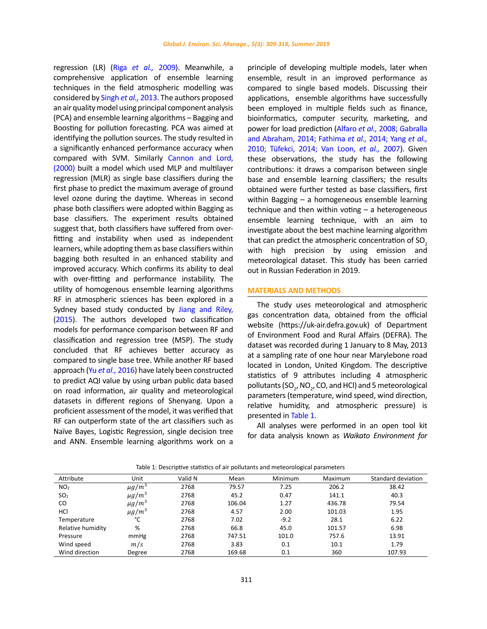regression (LR) (Riga *et al.,* 2009). Meanwhile, a comprehensive application of ensemble learning techniques in the field atmospheric modelling was considered by Singh *et al.,* 2013. The authors proposed an air quality model using principal component analysis (PCA) and ensemble learning algorithms – Bagging and Boosting for pollution forecasting. PCA was aimed at identifying the pollution sources. The study resulted in a significantly enhanced performance accuracy when compared with SVM. Similarly Cannon and Lord, (2000) built a model which used MLP and multilayer regression (MLR) as single base classifiers during the first phase to predict the maximum average of ground level ozone during the daytime. Whereas in second phase both classifiers were adopted within Bagging as base classifiers. The experiment results obtained suggest that, both classifiers have suffered from overfitting and instability when used as independent learners, while adopting them as base classifiers within bagging both resulted in an enhanced stability and improved accuracy. Which confirms its ability to deal with over-fitting and performance instability. The utility of homogenous ensemble learning algorithms RF in atmospheric sciences has been explored in a Sydney based study conducted by Jiang and Riley, (2015). The authors developed two classification models for performance comparison between RF and classification and regression tree (M5P). The study concluded that RF achieves better accuracy as compared to single base tree. While another RF based approach (Yu *et al.,* 2016) have lately been constructed to predict AQI value by using urban public data based on road information, air quality and meteorological datasets in different regions of Shenyang. Upon a proficient assessment of the model, it was verified that RF can outperform state of the art classifiers such as Naïve Bayes, Logistic Regression, single decision tree and ANN. Ensemble learning algorithms work on a

principle of developing multiple models, later when ensemble, result in an improved performance as compared to single based models. Discussing their applications, ensemble algorithms have successfully been employed in multiple fields such as finance, bioinformatics, computer security, marketing, and power for load prediction (Alfaro *et al.,* 2008; Gabralla and Abraham, 2014; Fathima *et al.,* 2014; Yang *et al.,* 2010; Tüfekci, 2014; Van Loon, *et al.,* 2007). Given these observations, the study has the following contributions: it draws a comparison between single base and ensemble learning classifiers; the results obtained were further tested as base classifiers, first within Bagging – a homogeneous ensemble learning technique and then within voting – a heterogeneous ensemble learning technique, with an aim to investigate about the best machine learning algorithm that can predict the atmospheric concentration of  $SO<sub>2</sub>$ with high precision by using emission and meteorological dataset. This study has been carried out in Russian Federation in 2019.

# **MATERIALS AND METHODS**

The study uses meteorological and atmospheric gas concentration data, obtained from the official website (https://uk-air.defra.gov.uk) of Department of Environment Food and Rural Affairs (DEFRA). The dataset was recorded during 1 January to 8 May, 2013 at a sampling rate of one hour near Marylebone road located in London, United Kingdom. The descriptive statistics of 9 attributes including 4 atmospheric pollutants (SO<sub>2</sub>, NO<sub>2</sub>, CO, and HCl) and 5 meteorological parameters (temperature, wind speed, wind direction, relative humidity, and atmospheric pressure) is presented in Table 1.

All analyses were performed in an open tool kit for data analysis known as *Waikato Environment for* 

| Attribute         | Unit                   | Valid N | Mean   | Minimum | Maximum | Standard deviation |
|-------------------|------------------------|---------|--------|---------|---------|--------------------|
| NO <sub>2</sub>   | $\mu$ g/m <sup>3</sup> | 2768    | 79.57  | 7.25    | 206.2   | 38.42              |
| SO <sub>2</sub>   | $\mu$ g/m <sup>3</sup> | 2768    | 45.2   | 0.47    | 141.1   | 40.3               |
| CO                | $\mu$ g/m <sup>3</sup> | 2768    | 106.04 | 1.27    | 436.78  | 79.54              |
| HCI               | $\mu$ g/m <sup>3</sup> | 2768    | 4.57   | 2.00    | 101.03  | 1.95               |
| Temperature       | °C                     | 2768    | 7.02   | $-9.2$  | 28.1    | 6.22               |
| Relative humidity | %                      | 2768    | 66.8   | 45.0    | 101.57  | 6.98               |
| Pressure          | mmHg                   | 2768    | 747.51 | 101.0   | 757.6   | 13.91              |
| Wind speed        | m/s                    | 2768    | 3.83   | 0.1     | 10.1    | 1.79               |
| Wind direction    | Degree                 | 2768    | 169.68 | 0.1     | 360     | 107.93             |

Table 1: Descriptive statistics of air pollutants and meteorological parameters Table 1: Descriptive statistics of air pollutants and meteorological parameters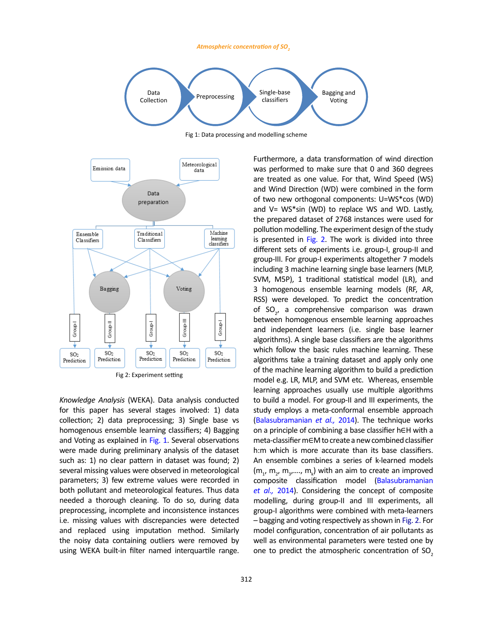### *Atmospheric concentration of SO<sup>2</sup>*



Fig 1: Data processing and modelling scheme



*Knowledge Analysis* (WEKA). Data analysis conducted for this paper has several stages involved: 1) data collection; 2) data preprocessing; 3) Single base vs homogenous ensemble learning classifiers; 4) Bagging and Voting as explained in Fig. 1. Several observations were made during preliminary analysis of the dataset such as: 1) no clear pattern in dataset was found; 2) several missing values were observed in meteorological parameters; 3) few extreme values were recorded in both pollutant and meteorological features. Thus data needed a thorough cleaning. To do so, during data preprocessing, incomplete and inconsistence instances i.e. missing values with discrepancies were detected and replaced using imputation method. Similarly the noisy data containing outliers were removed by using WEKA built-in filter named interquartile range.

are treated as one value. For that, Wind Speed (WS) and Wind Direction (WD) were combined in the form of two new orthogonal components: U=WS\*cos (WD) and V= WS\*sin (WD) to replace WS and WD. Lastly, the prepared dataset of 2768 instances were used for pollution modelling. The experiment design of the study is presented in Fig. 2. The work is divided into three different sets of experiments i.e. group-I, group-II and group-III. For group-I experiments altogether 7 models including 3 machine learning single base learners (MLP, SVM, M5P), 1 traditional statistical model (LR), and 3 homogenous ensemble learning models (RF, AR, RSS) were developed. To predict the concentration of  $SO_{2'}$  a comprehensive comparison was drawn between homogenous ensemble learning approaches and independent learners (i.e. single base learner algorithms). A single base classifiers are the algorithms which follow the basic rules machine learning. These algorithms take a training dataset and apply only one of the machine learning algorithm to build a prediction model e.g. LR, MLP, and SVM etc. Whereas, ensemble learning approaches usually use multiple algorithms to build a model. For group-II and III experiments, the study employs a meta-conformal ensemble approach (Balasubramanian *et al.,* 2014). The technique works on a principle of combining a base classifier h∈H with a meta-classifier m∈M to create a new combined classifier h:m which is more accurate than its base classifiers. An ensemble combines a series of k-learned models  $(m_1, m_2, m_3, \ldots, m_k)$  with an aim to create an improved composite classification model (Balasubramanian *et al.,* 2014). Considering the concept of composite modelling, during group-II and III experiments, all group-I algorithms were combined with meta-learners – bagging and voting respectively as shown in Fig. 2. For model configuration, concentration of air pollutants as well as environmental parameters were tested one by one to predict the atmospheric concentration of  $SO<sub>2</sub>$ 

Furthermore, a data transformation of wind direction was performed to make sure that 0 and 360 degrees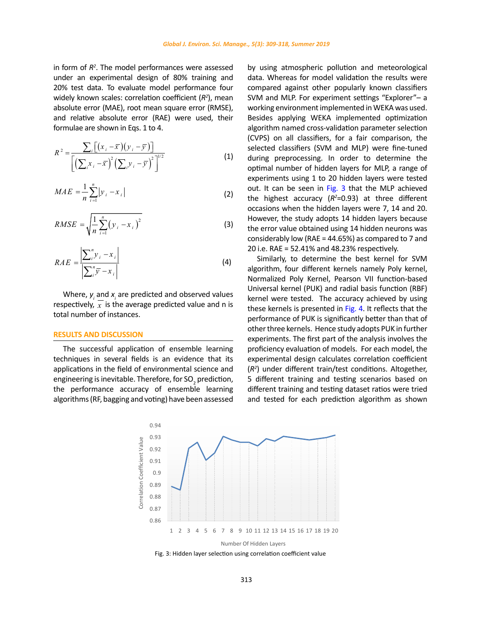in form of *R2* . The model performances were assessed under an experimental design of 80% training and 20% test data. To evaluate model performance four widely known scales: correlation coefficient (*R2* ), mean absolute error (MAE), root mean square error (RMSE), and relative absolute error (RAE) were used, their formulae are shown in Eqs. 1 to 4.

$$
R^{2} = \frac{\sum_{i} [(x_{i} - \bar{x})(y_{i} - \bar{y})]}{\left[ (\sum_{i} x_{i} - \bar{x})^{2} (\sum_{i} y_{i} - \bar{y})^{2} \right]^{1/2}}
$$
(1)

$$
MAE = \frac{1}{n} \sum_{i=1}^{n} |y_i - x_i|
$$
 (2)

$$
RMSE = \sqrt{\frac{1}{n} \sum_{i=1}^{n} (y_i - x_i)^2}
$$
 (3)

$$
RAE = \frac{\left| \sum_{i}^{n} y_{i} - x_{i} \right|}{\left| \sum_{i}^{n} \overline{y} - x_{i} \right|}
$$
\n(4)

Where,  $y_i$  and  $x_i$  are predicted and observed values respectively,  $\overline{x}$  is the average predicted value and n is total number of instances.

### **RESULTS AND DISCUSSION**

The successful application of ensemble learning techniques in several fields is an evidence that its applications in the field of environmental science and engineering is inevitable. Therefore, for SO<sub>2</sub> prediction, the performance accuracy of ensemble learning algorithms (RF, bagging and voting) have been assessed by using atmospheric pollution and meteorological data. Whereas for model validation the results were compared against other popularly known classifiers SVM and MLP. For experiment settings "Explorer"– a working environment implemented in WEKA was used. Besides applying WEKA implemented optimization algorithm named cross-validation parameter selection (CVPS) on all classifiers, for a fair comparison, the selected classifiers (SVM and MLP) were fine-tuned during preprocessing. In order to determine the optimal number of hidden layers for MLP, a range of experiments using 1 to 20 hidden layers were tested out. It can be seen in Fig. 3 that the MLP achieved the highest accuracy (*R2* =0.93) at three different occasions when the hidden layers were 7, 14 and 20. However, the study adopts 14 hidden layers because the error value obtained using 14 hidden neurons was considerably low (RAE = 44.65%) as compared to 7 and 20 i.e. RAE = 52.41% and 48.23% respectively.

Similarly, to determine the best kernel for SVM algorithm, four different kernels namely Poly kernel, Normalized Poly Kernel, Pearson VII function-based Universal kernel (PUK) and radial basis function (RBF) kernel were tested. The accuracy achieved by using these kernels is presented in Fig. 4. It reflects that the performance of PUK is significantly better than that of other three kernels. Hence study adopts PUK in further experiments. The first part of the analysis involves the proficiency evaluation of models. For each model, the experimental design calculates correlation coefficient (*R2* ) under different train/test conditions. Altogether, 5 different training and testing scenarios based on different training and testing dataset ratios were tried and tested for each prediction algorithm as shown



Fig. 4: Hidden layer selection using correlation coefficient value Fig. 3: Hidden layer selection using correlation coefficient value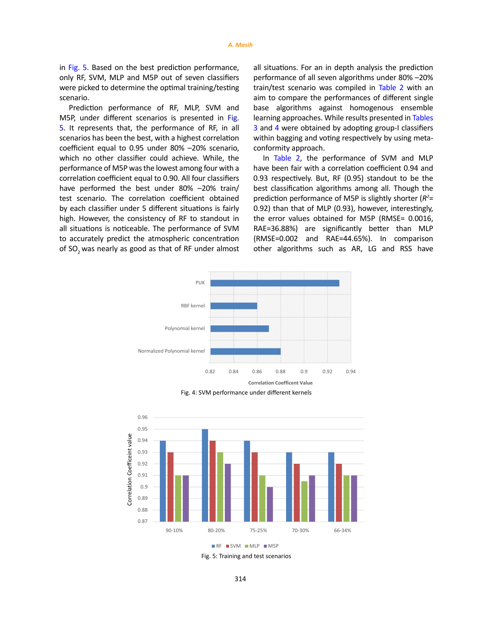in Fig. 5. Based on the best prediction performance, only RF, SVM, MLP and M5P out of seven classifiers were picked to determine the optimal training/testing scenario.

Prediction performance of RF, MLP, SVM and M5P, under different scenarios is presented in Fig. 5. It represents that, the performance of RF, in all scenarios has been the best, with a highest correlation coefficient equal to 0.95 under 80% –20% scenario, which no other classifier could achieve. While, the performance of M5P was the lowest among four with a correlation coefficient equal to 0.90. All four classifiers have performed the best under 80% –20% train/ test scenario. The correlation coefficient obtained by each classifier under 5 different situations is fairly high. However, the consistency of RF to standout in all situations is noticeable. The performance of SVM to accurately predict the atmospheric concentration of SO<sub>2</sub> was nearly as good as that of RF under almost all situations. For an in depth analysis the prediction performance of all seven algorithms under 80% –20% train/test scenario was compiled in Table 2 with an aim to compare the performances of different single base algorithms against homogenous ensemble learning approaches. While results presented in Tables 3 and 4 were obtained by adopting group-I classifiers within bagging and voting respectively by using metaconformity approach.

In Table 2, the performance of SVM and MLP have been fair with a correlation coefficient 0.94 and 0.93 respectively. But, RF (0.95) standout to be the best classification algorithms among all. Though the prediction performance of M5P is slightly shorter (*R2* = 0.92) than that of MLP (0.93), however, interestingly, the error values obtained for M5P (RMSE= 0.0016, RAE=36.88%) are significantly better than MLP (RMSE=0.002 and RAE=44.65%). In comparison other algorithms such as AR, LG and RSS have







Fig. 6: Training and test scenarios Fig. 5: Training and test scenarios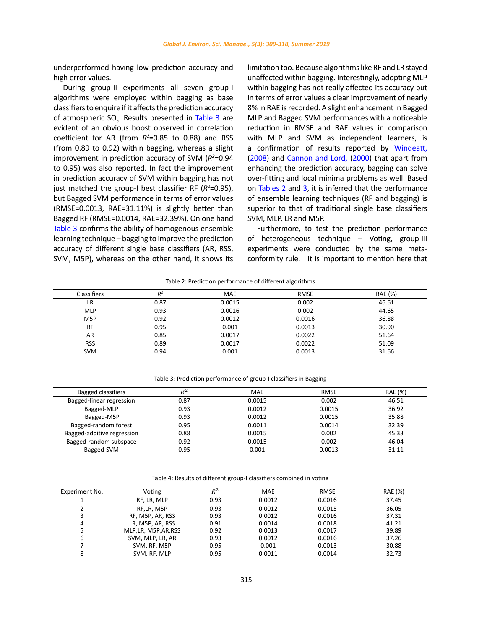underperformed having low prediction accuracy and high error values.

During group-II experiments all seven group-I algorithms were employed within bagging as base classifiers to enquire if it affects the prediction accuracy of atmospheric  $SO_2$ . Results presented in Table 3 are evident of an obvious boost observed in correlation coefficient for AR (from  $R^2$ =0.85 to 0.88) and RSS (from 0.89 to 0.92) within bagging, whereas a slight improvement in prediction accuracy of SVM ( $R^2$ =0.94 to 0.95) was also reported. In fact the improvement in prediction accuracy of SVM within bagging has not just matched the group-I best classifier RF (*R2* =0.95), but Bagged SVM performance in terms of error values (RMSE=0.0013, RAE=31.11%) is slightly better than Bagged RF (RMSE=0.0014, RAE=32.39%). On one hand Table 3 confirms the ability of homogenous ensemble learning technique – bagging to improve the prediction accuracy of different single base classifiers (AR, RSS, SVM, M5P), whereas on the other hand, it shows its limitation too. Because algorithms like RF and LR stayed unaffected within bagging. Interestingly, adopting MLP within bagging has not really affected its accuracy but in terms of error values a clear improvement of nearly 8% in RAE is recorded. A slight enhancement in Bagged MLP and Bagged SVM performances with a noticeable reduction in RMSE and RAE values in comparison with MLP and SVM as independent learners, is a confirmation of results reported by Windeatt, (2008) and Cannon and Lord, (2000) that apart from enhancing the prediction accuracy, bagging can solve over-fitting and local minima problems as well. Based on Tables 2 and 3, it is inferred that the performance of ensemble learning techniques (RF and bagging) is superior to that of traditional single base classifiers SVM, MLP, LR and M5P.

Furthermore, to test the prediction performance of heterogeneous technique – Voting, group-III experiments were conducted by the same metaconformity rule. It is important to mention here that

### Table 2: Prediction performance of different algorithms

| <b>Classifiers</b> | $R^2$ | <b>MAE</b> | <b>RMSE</b> | <b>RAE</b> (%) |
|--------------------|-------|------------|-------------|----------------|
| LR                 | 0.87  | 0.0015     | 0.002       | 46.61          |
| <b>MLP</b>         | 0.93  | 0.0016     | 0.002       | 44.65          |
| M <sub>5</sub> P   | 0.92  | 0.0012     | 0.0016      | 36.88          |
| <b>RF</b>          | 0.95  | 0.001      | 0.0013      | 30.90          |
| AR                 | 0.85  | 0.0017     | 0.0022      | 51.64          |
| <b>RSS</b>         | 0.89  | 0.0017     | 0.0022      | 51.09          |
| <b>SVM</b>         | 0.94  | 0.001      | 0.0013      | 31.66          |

# Table 3: Prediction performance of group-I classifiers in Bagging Table 3: Prediction performance of group-I classifiers in Bagging

| <b>Bagged classifiers</b>  | $R^2$ | MAE    | <b>RMSE</b> | RAE (%) |
|----------------------------|-------|--------|-------------|---------|
| Bagged-linear regression   | 0.87  | 0.0015 | 0.002       | 46.51   |
| Bagged-MLP                 | 0.93  | 0.0012 | 0.0015      | 36.92   |
| Bagged-M5P                 | 0.93  | 0.0012 | 0.0015      | 35.88   |
| Bagged-random forest       | 0.95  | 0.0011 | 0.0014      | 32.39   |
| Bagged-additive regression | 0.88  | 0.0015 | 0.002       | 45.33   |
| Bagged-random subspace     | 0.92  | 0.0015 | 0.002       | 46.04   |
| Bagged-SVM                 | 0.95  | 0.001  | 0.0013      | 31.11   |

Table 4: Results of different group-I classifiers combined in voting Table 4: Results of different group-I classifiers combined in voting

| Experiment No. | Voting                | $R^2$ | <b>MAE</b> | <b>RMSE</b> | RAE (%) |
|----------------|-----------------------|-------|------------|-------------|---------|
|                | RF, LR, MLP           | 0.93  | 0.0012     | 0.0016      | 37.45   |
|                | RF.LR. M5P            | 0.93  | 0.0012     | 0.0015      | 36.05   |
|                | RF, M5P, AR, RSS      | 0.93  | 0.0012     | 0.0016      | 37.31   |
| 4              | LR, M5P, AR, RSS      | 0.91  | 0.0014     | 0.0018      | 41.21   |
|                | MLP, LR, M5P, AR, RSS | 0.92  | 0.0013     | 0.0017      | 39.89   |
| 6              | SVM, MLP, LR, AR      | 0.93  | 0.0012     | 0.0016      | 37.26   |
|                | SVM, RF, M5P          | 0.95  | 0.001      | 0.0013      | 30.88   |
| 8              | SVM, RF, MLP          | 0.95  | 0.0011     | 0.0014      | 32.73   |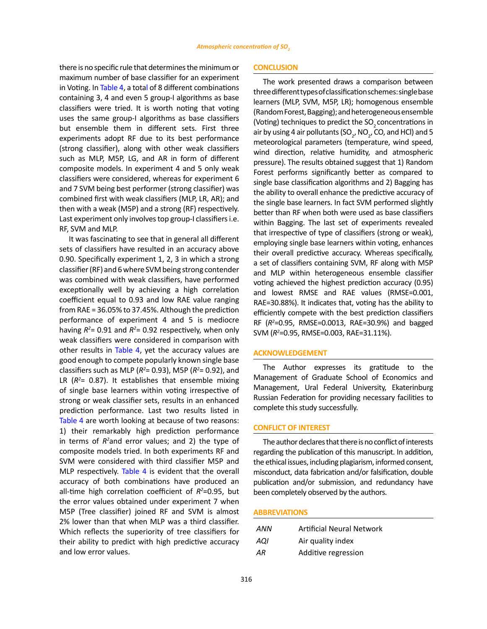there is no specific rule that determines the minimum or maximum number of base classifier for an experiment in Voting. In Table 4, a total of 8 different combinations containing 3, 4 and even 5 group-I algorithms as base classifiers were tried. It is worth noting that voting uses the same group-I algorithms as base classifiers but ensemble them in different sets. First three experiments adopt RF due to its best performance (strong classifier), along with other weak classifiers such as MLP, M5P, LG, and AR in form of different composite models. In experiment 4 and 5 only weak classifiers were considered, whereas for experiment 6 and 7 SVM being best performer (strong classifier) was combined first with weak classifiers (MLP, LR, AR); and then with a weak (M5P) and a strong (RF) respectively. Last experiment only involves top group-I classifiers i.e. RF, SVM and MLP.

It was fascinating to see that in general all different sets of classifiers have resulted in an accuracy above 0.90. Specifically experiment 1, 2, 3 in which a strong classifier (RF) and 6 where SVM being strong contender was combined with weak classifiers, have performed exceptionally well by achieving a high correlation coefficient equal to 0.93 and low RAE value ranging from RAE = 36.05% to 37.45%. Although the prediction performance of experiment 4 and 5 is mediocre having  $R^2$ = 0.91 and  $R^2$ = 0.92 respectively, when only weak classifiers were considered in comparison with other results in Table 4, yet the accuracy values are good enough to compete popularly known single base classifiers such as MLP ( $R^2$ = 0.93), M5P ( $R^2$ = 0.92), and LR  $(R<sup>2</sup>= 0.87)$ . It establishes that ensemble mixing of single base learners within voting irrespective of strong or weak classifier sets, results in an enhanced prediction performance. Last two results listed in Table 4 are worth looking at because of two reasons: 1) their remarkably high prediction performance in terms of *R2* and error values; and 2) the type of composite models tried. In both experiments RF and SVM were considered with third classifier M5P and MLP respectively. Table 4 is evident that the overall accuracy of both combinations have produced an all-time high correlation coefficient of  $R^2$ =0.95, but the error values obtained under experiment 7 when M5P (Tree classifier) joined RF and SVM is almost 2% lower than that when MLP was a third classifier. Which reflects the superiority of tree classifiers for their ability to predict with high predictive accuracy and low error values.

# **CONCLUSION**

The work presented draws a comparison between three different types of classification schemes: single base learners (MLP, SVM, M5P, LR); homogenous ensemble (Random Forest, Bagging); and heterogeneous ensemble (Voting) techniques to predict the SO<sub>2</sub> concentrations in air by using 4 air pollutants (SO<sub>2</sub>, NO<sub>2</sub>, CO, and HCl) and 5 meteorological parameters (temperature, wind speed, wind direction, relative humidity, and atmospheric pressure). The results obtained suggest that 1) Random Forest performs significantly better as compared to single base classification algorithms and 2) Bagging has the ability to overall enhance the predictive accuracy of the single base learners. In fact SVM performed slightly better than RF when both were used as base classifiers within Bagging. The last set of experiments revealed that irrespective of type of classifiers (strong or weak), employing single base learners within voting, enhances their overall predictive accuracy. Whereas specifically, a set of classifiers containing SVM, RF along with M5P and MLP within heterogeneous ensemble classifier voting achieved the highest prediction accuracy (0.95) and lowest RMSE and RAE values (RMSE=0.001, RAE=30.88%). It indicates that, voting has the ability to efficiently compete with the best prediction classifiers RF (*R2* =0.95, RMSE=0.0013, RAE=30.9%) and bagged SVM (*R2* =0.95, RMSE=0.003, RAE=31.11%).

### **ACKNOWLEDGEMENT**

The Author expresses its gratitude to the Management of Graduate School of Economics and Management, Ural Federal University, Ekaterinburg Russian Federation for providing necessary facilities to complete this study successfully.

### **CONFLICT OF INTEREST**

The author declares that there is no conflict of interests regarding the publication of this manuscript. In addition, the ethical issues, including plagiarism, informed consent, misconduct, data fabrication and/or falsification, double publication and/or submission, and redundancy have been completely observed by the authors.

## **ABBREVIATIONS**

| ANN | <b>Artificial Neural Network</b> |
|-----|----------------------------------|
| AQI | Air quality index                |
| AR  | Additive regression              |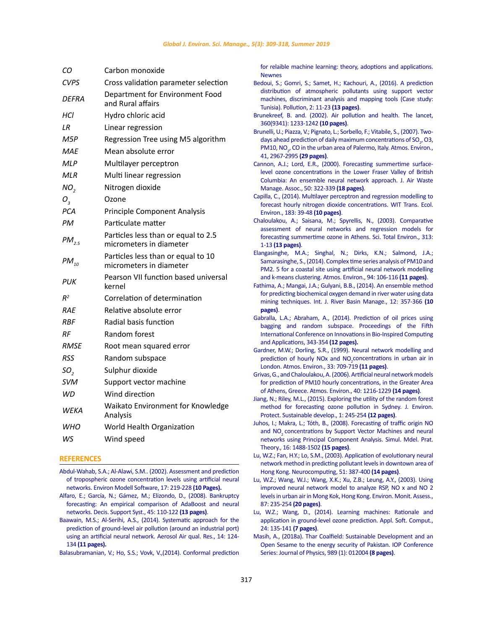| CО                          | Carbon monoxide                                                |
|-----------------------------|----------------------------------------------------------------|
| <b>CVPS</b>                 | Cross validation parameter selection                           |
| DEFRA                       | Department for Environment Food<br>and Rural affairs           |
| НCІ                         | Hydro chloric acid                                             |
| LR                          | Linear regression                                              |
| M5P                         | Regression Tree using M5 algorithm                             |
| MAE                         | Mean absolute error                                            |
| MLP                         | Multilayer perceptron                                          |
| MLR                         | Multi linear regression                                        |
| NO <sub>2</sub>             | Nitrogen dioxide                                               |
| $O_{\scriptscriptstyle{Q}}$ | Ozone                                                          |
| <b>PCA</b>                  | <b>Principle Component Analysis</b>                            |
| PМ                          | Particulate matter                                             |
| $PM_{2.5}$                  | Particles less than or equal to 2.5<br>micrometers in diameter |
| $PM_{10}$                   | Particles less than or equal to 10<br>micrometers in diameter  |
| PUK                         | Pearson VII function based universal<br>kernel                 |
| $R^2$                       | Correlation of determination                                   |
| RAE                         | Relative absolute error                                        |
| RBF                         | Radial basis function                                          |
| RF                          | Random forest                                                  |
| RMSE                        | Root mean squared error                                        |
| RSS                         | Random subspace                                                |
| SO,                         | Sulphur dioxide                                                |
| <b>SVM</b>                  | Support vector machine                                         |
| WD                          | Wind direction                                                 |
| <b>WEKA</b>                 | Waikato Environment for Knowledge<br>Analysis                  |
| WHO                         | World Health Organization                                      |
| WS                          | Wind speed                                                     |

#### **REFERENCES**

[Abdul-Wahab, S.A.; Al-Alawi, S.M.. \(2002\). Assessment and prediction](https://squ.pure.elsevier.com/en/publications/assessment-and-prediction-of-tropospheric-ozone-concentration-lev)  [of tropospheric ozone concentration levels using artificial neural](https://squ.pure.elsevier.com/en/publications/assessment-and-prediction-of-tropospheric-ozone-concentration-lev)  [networks. Environ Modell Software, 17: 219-228](https://squ.pure.elsevier.com/en/publications/assessment-and-prediction-of-tropospheric-ozone-concentration-lev) **(10 Pages).** 

Alfaro, E.; García, N.; Gámez, M.; Elizondo, D., (2008). Bankruptcy [forecasting: An empirical comparison of AdaBoost and neural](https://dl.acm.org/citation.cfm?id=1360843)  [networks. Decis. Support Syst., 45: 110-122](https://dl.acm.org/citation.cfm?id=1360843) **(13 pages)**.

[Baawain, M.S.; Al-Serihi, A.S., \(2014\). Systematic approach for the](https://pdfs.semanticscholar.org/301e/4048136a943cfa7259d5788446c42ddd95f9.pdf)  [prediction of ground-level air pollution \(around an industrial port\)](https://pdfs.semanticscholar.org/301e/4048136a943cfa7259d5788446c42ddd95f9.pdf)  [using an artificial neural network. Aerosol Air qual. Res., 14: 124-](https://pdfs.semanticscholar.org/301e/4048136a943cfa7259d5788446c42ddd95f9.pdf) 134 **[\(11 pages\).](https://pdfs.semanticscholar.org/301e/4048136a943cfa7259d5788446c42ddd95f9.pdf)**

[Balasubramanian, V.; Ho, S.S.; Vovk, V.,\(2014\). Conformal prediction](https://www.sciencedirect.com/topics/computer-science/base-classifier) 

[for relaible machine learning: theory, adoptions and applications.](https://www.sciencedirect.com/topics/computer-science/base-classifier) [Newnes](https://www.sciencedirect.com/topics/computer-science/base-classifier) 

- Bedoui, S.; Gomri, S.; Samet, H.; Kachouri, A., (2016). A prediction distribution of atmospheric pollutants using support vector machines, discriminant analysis and mapping tools (Case study: Tunisia). Pollution, 2: 11-23 **(13 pages)**.
- [Brunekreef, B. and. \(2002\). Air pollution and health. The lancet,](https://www.sciencedirect.com/science/article/pii/S0140673602112748) [360\(9341\): 1233-1242](https://www.sciencedirect.com/science/article/pii/S0140673602112748) **(10 pages)**.
- [Brunelli, U.; Piazza, V.; Pignato, L.; Sorbello, F.; Vitabile, S., \(2007\). Two](https://www.sciencedirect.com/science/article/pii/S1352231006012696)days ahead prediction of daily maximum concentrations of  $SO_2$ , O3, PM10, NO<sub>2</sub>[, CO in the urban area of Palermo, Italy. Atmos. Environ.,](https://www.sciencedirect.com/science/article/pii/S1352231006012696) [41, 2967-2995](https://www.sciencedirect.com/science/article/pii/S1352231006012696) **(29 pages)**.
- [Cannon, A.J.; Lord, E.R., \(2000\). Forecasting summertime surface](https://www.tandfonline.com/doi/abs/10.1080/10473289.2000.10464024)[level ozone concentrations in the Lower Fraser Valley of British](https://www.tandfonline.com/doi/abs/10.1080/10473289.2000.10464024) [Columbia: An ensemble neural network approach. J. Air Waste](https://www.tandfonline.com/doi/abs/10.1080/10473289.2000.10464024) [Manage. Assoc., 50: 322-339](https://www.tandfonline.com/doi/abs/10.1080/10473289.2000.10464024) **(18 pages)**.
- [Capilla, C., \(2014\). Multilayer perceptron and regression modelling to](https://www.semanticscholar.org/paper/Multilayer-perceptron-and-regression-modelling-to-Capilla/d2b7c9d27875f1675e34f56df0f55a11328b6728) [forecast hourly nitrogen dioxide concentrations. WIT Trans. Ecol.](https://www.semanticscholar.org/paper/Multilayer-perceptron-and-regression-modelling-to-Capilla/d2b7c9d27875f1675e34f56df0f55a11328b6728) [Environ., 183: 39-48](https://www.semanticscholar.org/paper/Multilayer-perceptron-and-regression-modelling-to-Capilla/d2b7c9d27875f1675e34f56df0f55a11328b6728) **(10 pages)**.
- [Chaloulakou, A.; Saisana, M.; Spyrellis, N., \(2003\). Comparative](https://www.sciencedirect.com/science/article/pii/S0048969703003358) [assessment of neural networks and regression models for](https://www.sciencedirect.com/science/article/pii/S0048969703003358) [forecasting summertime ozone in Athens. Sci. Total Environ., 313:](https://www.sciencedirect.com/science/article/pii/S0048969703003358) 1-13 **[\(13 pages\)](https://www.sciencedirect.com/science/article/pii/S0048969703003358)**.
- [Elangasinghe, M.A.; Singhal, N.; Dirks, K.N.; Salmond, J.A.;](https://www.sciencedirect.com/science/article/pii/S1352231014003239) [Samarasinghe, S., \(2014\). Complex time series analysis of PM10 and](https://www.sciencedirect.com/science/article/pii/S1352231014003239) [PM2. 5 for a coastal site using artificial neural network modelling](https://www.sciencedirect.com/science/article/pii/S1352231014003239) [and k-means clustering. Atmos. Environ., 94: 106-116](https://www.sciencedirect.com/science/article/pii/S1352231014003239) **(11 pages)**.
- [Fathima, A.; Mangai, J.A.; Gulyani, B.B., \(2014\). An ensemble method](https://www.tandfonline.com/doi/abs/10.1080/15715124.2014.936442) [for predicting biochemical oxygen demand in river water using data](https://www.tandfonline.com/doi/abs/10.1080/15715124.2014.936442) [mining techniques. Int. J. River Basin Manage., 12: 357-366](https://www.tandfonline.com/doi/abs/10.1080/15715124.2014.936442) **(10 [pages\)](https://www.tandfonline.com/doi/abs/10.1080/15715124.2014.936442)**.
- [Gabralla, L.A.; Abraham, A., \(2014\). Prediction of oil prices using](https://link.springer.com/chapter/10.1007/978-3-319-08156-4_34) [bagging and random subspace. Proceedings of the Fifth](https://link.springer.com/chapter/10.1007/978-3-319-08156-4_34) [International Conference on Innovations in Bio-Inspired Computing](https://link.springer.com/chapter/10.1007/978-3-319-08156-4_34) [and Applications, 343-354](https://link.springer.com/chapter/10.1007/978-3-319-08156-4_34) **(12 pages).**
- [Gardner, M.W.; Dorling, S.R., \(1999\). Neural network modelling and](https://www.sciencedirect.com/science/article/pii/S1352231098002301) prediction of hourly NOx and  $NO<sub>2</sub>$  concentrations in urban air in [London. Atmos. Environ., 33: 709-719](https://www.sciencedirect.com/science/article/pii/S1352231098002301) **(11 pages)**.

[Grivas, G., and Chaloulakou, A. \(2006\). Artificial neural network models](https://www.sciencedirect.com/science/article/pii/S1352231005010137) [for prediction of PM10 hourly concentrations, in the Greater Area](https://www.sciencedirect.com/science/article/pii/S1352231005010137) [of Athens, Greece. Atmos. Environ., 40: 1216-1229](https://www.sciencedirect.com/science/article/pii/S1352231005010137) **(14 pages)**.

[Jiang, N.; Riley, M.L., \(2015\). Exploring the utility of the random forest](http://files.aiscience.org/journal/article/pdf/70140040.pdf) [method for forecasting ozone pollution in Sydney. J. Environ.](http://files.aiscience.org/journal/article/pdf/70140040.pdf) [Protect. Sustainable develop., 1: 245-254](http://files.aiscience.org/journal/article/pdf/70140040.pdf) **(12 pages)**.

- [Juhos, I.; Makra, L.; Tóth, B., \(2008\). Forecasting of traffic origin NO](http://www.academia.edu/download/39918967/Forecasting_of_traffic_origin_NO_and_NO20151111-15827-5b0i8s.pdf) and NO<sub>2</sub> [concentrations by Support Vector Machines and neural](http://www.academia.edu/download/39918967/Forecasting_of_traffic_origin_NO_and_NO20151111-15827-5b0i8s.pdf) [networks using Principal Component Analysis. Simul. Mdel. Prat.](http://www.academia.edu/download/39918967/Forecasting_of_traffic_origin_NO_and_NO20151111-15827-5b0i8s.pdf) [Theory., 16: 1488-1502](http://www.academia.edu/download/39918967/Forecasting_of_traffic_origin_NO_and_NO20151111-15827-5b0i8s.pdf) **(15 pages)**.
- [Lu, W.Z.; Fan, H.Y.; Lo, S.M., \(2003\). Application of evolutionary neural](https://www.sciencedirect.com/science/article/pii/S0925231202006239) [network method in predicting pollutant levels in downtown area of](https://www.sciencedirect.com/science/article/pii/S0925231202006239) [Hong Kong. Neurocomputing, 51: 387-400](https://www.sciencedirect.com/science/article/pii/S0925231202006239) **(14 pages)**.
- [Lu, W.Z.; Wang, W.J.; Wang, X.K.; Xu, Z.B.; Leung, A.Y., \(2003\). Using](https://link.springer.com/article/10.1023/A:1024819309108) [improved neural network model to analyze RSP, NO x and NO 2](https://link.springer.com/article/10.1023/A:1024819309108) [levels in urban air in Mong Kok, Hong Kong. Environ. Monit. Assess.,](https://link.springer.com/article/10.1023/A:1024819309108) [87: 235-254](https://link.springer.com/article/10.1023/A:1024819309108) **(20 pages)**.
- [Lu, W.Z.; Wang, D., \(2014\). Learning machines: Rationale and](https://www.sciencedirect.com/science/article/pii/S156849461400338X) [application in ground-level ozone prediction. Appl. Soft. Comput.,](https://www.sciencedirect.com/science/article/pii/S156849461400338X) [24: 135-141](https://www.sciencedirect.com/science/article/pii/S156849461400338X) **(7 pages)**.
- [Masih, A., \(2018a\). Thar Coalfield: Sustainable Development and an](https://iopscience.iop.org/article/10.1088/1742-6596/989/1/012004/pdf) [Open Sesame to the energy security of Pakistan. IOP Conference](https://iopscience.iop.org/article/10.1088/1742-6596/989/1/012004/pdf) [Series: Journal of Physics, 989 \(1\): 012004](https://iopscience.iop.org/article/10.1088/1742-6596/989/1/012004/pdf) **(8 pages)**.